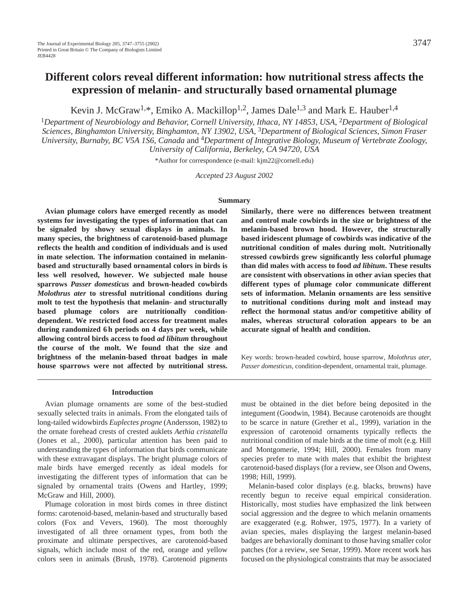# **Different colors reveal different information: how nutritional stress affects the expression of melanin- and structurally based ornamental plumage**

Kevin J. McGraw<sup>1,\*</sup>, Emiko A. Mackillop<sup>1,2</sup>, James Dale<sup>1,3</sup> and Mark E. Hauber<sup>1,4</sup>

<sup>1</sup>*Department of Neurobiology and Behavior, Cornell University, Ithaca, NY 14853, USA,* 2*Department of Biological Sciences, Binghamton University, Binghamton, NY 13902, USA,* 3*Department of Biological Sciences, Simon Fraser University, Burnaby, BC V5A 1S6, Canada* and 4*Department of Integrative Biology, Museum of Vertebrate Zoology, University of California, Berkeley, CA 94720, USA*

\*Author for correspondence (e-mail: kjm22@cornell.edu)

*Accepted 23 August 2002* 

### **Summary**

**Avian plumage colors have emerged recently as model systems for investigating the types of information that can be signaled by showy sexual displays in animals. In many species, the brightness of carotenoid-based plumage reflects the health and condition of individuals and is used in mate selection. The information contained in melaninbased and structurally based ornamental colors in birds is less well resolved, however. We subjected male house sparrows** *Passer domesticus* **and brown-headed cowbirds** *Molothrus ater* **to stressful nutritional conditions during molt to test the hypothesis that melanin- and structurally based plumage colors are nutritionally conditiondependent. We restricted food access for treatment males during randomized 6 h periods on 4 days per week, while allowing control birds access to food** *ad libitum* **throughout the course of the molt. We found that the size and brightness of the melanin-based throat badges in male house sparrows were not affected by nutritional stress.** **Similarly, there were no differences between treatment and control male cowbirds in the size or brightness of the melanin-based brown hood. However, the structurally based iridescent plumage of cowbirds was indicative of the nutritional condition of males during molt. Nutritionally stressed cowbirds grew significantly less colorful plumage than did males with access to food** *ad libitum***. These results are consistent with observations in other avian species that different types of plumage color communicate different sets of information. Melanin ornaments are less sensitive to nutritional conditions during molt and instead may reflect the hormonal status and/or competitive ability of males, whereas structural coloration appears to be an accurate signal of health and condition.**

Key words: brown-headed cowbird, house sparrow, *Molothrus ater*, *Passer domesticus,* condition-dependent, ornamental trait, plumage.

#### **Introduction**

Avian plumage ornaments are some of the best-studied sexually selected traits in animals. From the elongated tails of long-tailed widowbirds *Euplectes progne* (Andersson, 1982) to the ornate forehead crests of crested auklets *Aethia cristatella* (Jones et al., 2000), particular attention has been paid to understanding the types of information that birds communicate with these extravagant displays. The bright plumage colors of male birds have emerged recently as ideal models for investigating the different types of information that can be signaled by ornamental traits (Owens and Hartley, 1999; McGraw and Hill, 2000).

Plumage coloration in most birds comes in three distinct forms: carotenoid-based, melanin-based and structurally based colors (Fox and Vevers, 1960). The most thoroughly investigated of all three ornament types, from both the proximate and ultimate perspectives, are carotenoid-based signals, which include most of the red, orange and yellow colors seen in animals (Brush, 1978). Carotenoid pigments

must be obtained in the diet before being deposited in the integument (Goodwin, 1984). Because carotenoids are thought to be scarce in nature (Grether et al., 1999), variation in the expression of carotenoid ornaments typically reflects the nutritional condition of male birds at the time of molt (e.g. Hill and Montgomerie, 1994; Hill, 2000). Females from many species prefer to mate with males that exhibit the brightest carotenoid-based displays (for a review, see Olson and Owens, 1998; Hill, 1999).

Melanin-based color displays (e.g. blacks, browns) have recently begun to receive equal empirical consideration. Historically, most studies have emphasized the link between social aggression and the degree to which melanin ornaments are exaggerated (e.g. Rohwer, 1975, 1977). In a variety of avian species, males displaying the largest melanin-based badges are behaviorally dominant to those having smaller color patches (for a review, see Senar, 1999). More recent work has focused on the physiological constraints that may be associated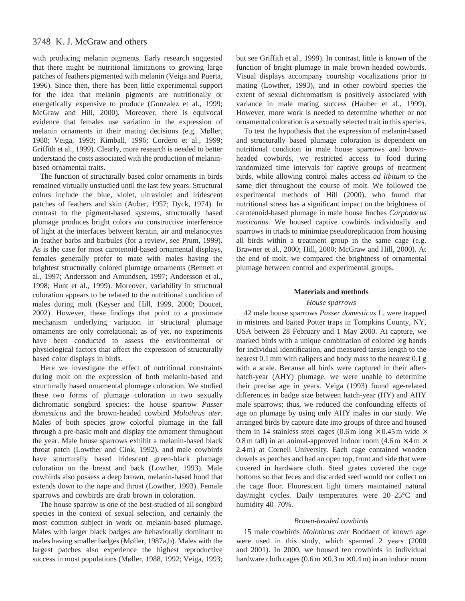# 3748 K. J. McGraw and others

with producing melanin pigments. Early research suggested that there might be nutritional limitations to growing large patches of feathers pigmented with melanin (Veiga and Puerta, 1996). Since then, there has been little experimental support for the idea that melanin pigments are nutritionally or energetically expensive to produce (Gonzalez et al., 1999; McGraw and Hill, 2000). Moreover, there is equivocal evidence that females use variation in the expression of melanin ornaments in their mating decisions (e.g. Møller, 1988; Veiga, 1993; Kimball, 1996; Cordero et al., 1999; Griffith et al., 1999). Clearly, more research is needed to better understand the costs associated with the production of melaninbased ornamental traits.

The function of structurally based color ornaments in birds remained virtually unstudied until the last few years. Structural colors include the blue, violet, ultraviolet and iridescent patches of feathers and skin (Auber, 1957; Dyck, 1974). In contrast to the pigment-based systems, structurally based plumage produces bright colors *via* constructive interference of light at the interfaces between keratin, air and melanocytes in feather barbs and barbules (for a review, see Prum, 1999). As is the case for most carotenoid-based ornamental displays, females generally prefer to mate with males having the brightest structurally colored plumage ornaments (Bennett et al., 1997; Andersson and Amundsen, 1997; Andersson et al., 1998; Hunt et al., 1999). Moreover, variability in structural coloration appears to be related to the nutritional condition of males during molt (Keyser and Hill, 1999, 2000; Doucet, 2002). However, these findings that point to a proximate mechanism underlying variation in structural plumage ornaments are only correlational; as of yet, no experiments have been conducted to assess the environmental or physiological factors that affect the expression of structurally based color displays in birds.

Here we investigate the effect of nutritional constraints during molt on the expression of both melanin-based and structurally based ornamental plumage coloration. We studied these two forms of plumage coloration in two sexually dichromatic songbird species: the house sparrow *Passer domesticus* and the brown-headed cowbird *Molothrus ater*. Males of both species grow colorful plumage in the fall through a pre-basic molt and display the ornament throughout the year. Male house sparrows exhibit a melanin-based black throat patch (Lowther and Cink, 1992), and male cowbirds have structurally based iridescent green-black plumage coloration on the breast and back (Lowther, 1993). Male cowbirds also possess a deep brown, melanin-based hood that extends down to the nape and throat (Lowther, 1993). Female sparrows and cowbirds are drab brown in coloration.

The house sparrow is one of the best-studied of all songbird species in the context of sexual selection, and certainly the most common subject in work on melanin-based plumage. Males with larger black badges are behaviorally dominant to males having smaller badges (Møller, 1987a,b). Males with the largest patches also experience the highest reproductive success in most populations (Møller, 1988, 1992; Veiga, 1993; but see Griffith et al., 1999). In contrast, little is known of the function of bright plumage in male brown-headed cowbirds. Visual displays accompany courtship vocalizations prior to mating (Lowther, 1993), and in other cowbird species the extent of sexual dichromatism is positively associated with variance in male mating success (Hauber et al., 1999). However, more work is needed to determine whether or not ornamental coloration is a sexually selected trait in this species.

To test the hypothesis that the expression of melanin-based and structurally based plumage coloration is dependent on nutritional condition in male house sparrows and brownheaded cowbirds, we restricted access to food during randomized time intervals for captive groups of treatment birds, while allowing control males access *ad libitum* to the same diet throughout the course of molt. We followed the experimental methods of Hill (2000), who found that nutritional stress has a significant impact on the brightness of carotenoid-based plumage in male house finches *Carpodacus mexicanus*. We housed captive cowbirds individually and sparrows in triads to minimize pseudoreplication from housing all birds within a treatment group in the same cage (e.g. Brawner et al., 2000; Hill, 2000; McGraw and Hill, 2000). At the end of molt, we compared the brightness of ornamental plumage between control and experimental groups.

#### **Materials and methods**

#### *House sparrows*

42 male house sparrows *Passer domesticus* L. were trapped in mistnets and baited Potter traps in Tompkins County, NY, USA between 28 February and 1 May 2000. At capture, we marked birds with a unique combination of colored leg bands for individual identification, and measured tarsus length to the nearest 0.1 mm with calipers and body mass to the nearest 0.1 g with a scale. Because all birds were captured in their afterhatch-year (AHY) plumage, we were unable to determine their precise age in years. Veiga (1993) found age-related differences in badge size between hatch-year (HY) and AHY male sparrows; thus, we reduced the confounding effects of age on plumage by using only AHY males in our study. We arranged birds by capture date into groups of three and housed them in 14 stainless steel cages (0.6 m long  $\times$  0.45 m wide  $\times$ 0.8 m tall) in an animal-approved indoor room  $(4.6 \text{ m} \times 4 \text{ m} \times$ 2.4 m) at Cornell University. Each cage contained wooden dowels as perches and had an open top, front and side that were covered in hardware cloth. Steel grates covered the cage bottoms so that feces and discarded seed would not collect on the cage floor. Fluorescent light timers maintained natural day/night cycles. Daily temperatures were 20–25°C and humidity 40-70%.

#### *Brown-headed cowbirds*

15 male cowbirds *Molothrus ater* Boddaert of known age were used in this study, which spanned 2 years (2000 and 2001). In 2000, we housed ten cowbirds in individual hardware cloth cages  $(0.6 \text{ m} \times 0.3 \text{ m} \times 0.4 \text{ m})$  in an indoor room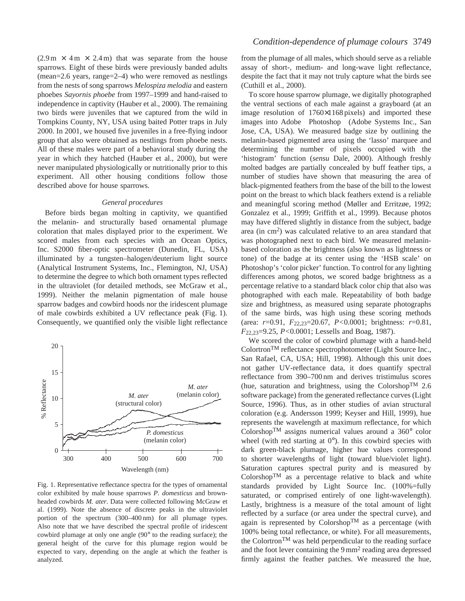$(2.9 \text{ m} \times 4 \text{ m} \times 2.4 \text{ m})$  that was separate from the house sparrows. Eight of these birds were previously banded adults (mean=2.6 years, range=2–4) who were removed as nestlings from the nests of song sparrows *Melospiza melodia* and eastern phoebes *Sayornis phoebe* from 1997–1999 and hand-raised to independence in captivity (Hauber et al., 2000). The remaining two birds were juveniles that we captured from the wild in Tompkins County, NY, USA using baited Potter traps in July 2000. In 2001, we housed five juveniles in a free-flying indoor group that also were obtained as nestlings from phoebe nests. All of these males were part of a behavioral study during the year in which they hatched (Hauber et al., 2000), but were never manipulated physiologically or nutritionally prior to this experiment. All other housing conditions follow those described above for house sparrows.

#### *General procedures*

Before birds began molting in captivity, we quantified the melanin- and structurally based ornamental plumage coloration that males displayed prior to the experiment. We scored males from each species with an Ocean Optics, Inc. S2000 fiber-optic spectrometer (Dunedin, FL, USA) illuminated by a tungsten–halogen/deuterium light source (Analytical Instrument Systems, Inc., Flemington, NJ, USA) to determine the degree to which both ornament types reflected in the ultraviolet (for detailed methods, see McGraw et al., 1999). Neither the melanin pigmentation of male house sparrow badges and cowbird hoods nor the iridescent plumage of male cowbirds exhibited a UV reflectance peak (Fig. 1). Consequently, we quantified only the visible light reflectance



Fig. 1. Representative reflectance spectra for the types of ornamental color exhibited by male house sparrows *P. domesticus* and brownheaded cowbirds *M. ater*. Data were collected following McGraw et al. (1999). Note the absence of discrete peaks in the ultraviolet portion of the spectrum (300–400 nm) for all plumage types. Also note that we have described the spectral profile of iridescent cowbird plumage at only one angle (90° to the reading surface); the general height of the curve for this plumage region would be expected to vary, depending on the angle at which the feather is analyzed.

from the plumage of all males, which should serve as a reliable assay of short-, medium- and long-wave light reflectance, despite the fact that it may not truly capture what the birds see (Cuthill et al., 2000).

To score house sparrow plumage, we digitally photographed the ventral sections of each male against a grayboard (at an image resolution of 1760×1168 pixels) and imported these images into Adobe<sup>®</sup> Photoshop<sup>®</sup> (Adobe Systems Inc., San Jose, CA, USA). We measured badge size by outlining the melanin-based pigmented area using the 'lasso' marquee and determining the number of pixels occupied with the 'histogram' function (*sensu* Dale, 2000). Although freshly molted badges are partially concealed by buff feather tips, a number of studies have shown that measuring the area of black-pigmented feathers from the base of the bill to the lowest point on the breast to which black feathers extend is a reliable and meaningful scoring method (Møller and Erritzøe, 1992; Gonzalez et al., 1999; Griffith et al., 1999). Because photos may have differed slightly in distance from the subject, badge area (in  $\text{cm}^2$ ) was calculated relative to an area standard that was photographed next to each bird. We measured melaninbased coloration as the brightness (also known as lightness or tone) of the badge at its center using the 'HSB scale' on Photoshop's 'color picker' function. To control for any lighting differences among photos, we scored badge brightness as a percentage relative to a standard black color chip that also was photographed with each male. Repeatability of both badge size and brightness, as measured using separate photographs of the same birds, was high using these scoring methods (area: *r*=0.91, *F*22,23=20.67, *P<*0.0001; brightness: *r*=0.81, *F*22,23=9.25, *P<*0.0001; Lessells and Boag, 1987).

We scored the color of cowbird plumage with a hand-held ColortronTM reflectance spectrophotometer (Light Source Inc., San Rafael, CA, USA; Hill, 1998). Although this unit does not gather UV-reflectance data, it does quantify spectral reflectance from 390–700 nm and derives tristimulus scores (hue, saturation and brightness, using the Colorshop<sup>TM</sup> 2.6 software package) from the generated reflectance curves (Light Source, 1996). Thus, as in other studies of avian structural coloration (e.g. Andersson 1999; Keyser and Hill, 1999), hue represents the wavelength at maximum reflectance, for which Colorshop<sup>TM</sup> assigns numerical values around a  $360^{\circ}$  color wheel (with red starting at  $0^{\circ}$ ). In this cowbird species with dark green-black plumage, higher hue values correspond to shorter wavelengths of light (toward blue/violet light). Saturation captures spectral purity and is measured by  $\text{Colorshop}^{\text{TM}}$  as a percentage relative to black and white standards provided by Light Source Inc. (100%=fully saturated, or comprised entirely of one light-wavelength). Lastly, brightness is a measure of the total amount of light reflected by a surface (or area under the spectral curve), and again is represented by Colorshop<sup>TM</sup> as a percentage (with 100% being total reflectance, or white). For all measurements, the Colortron<sup>TM</sup> was held perpendicular to the reading surface and the foot lever containing the 9 mm<sup>2</sup> reading area depressed firmly against the feather patches. We measured the hue,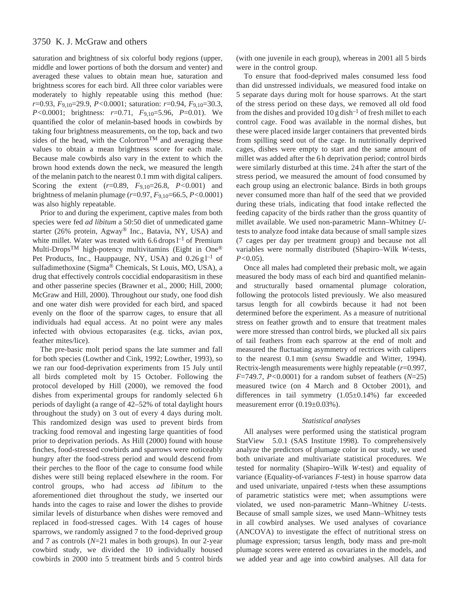# 3750 K. J. McGraw and others

saturation and brightness of six colorful body regions (upper, middle and lower portions of both the dorsum and venter) and averaged these values to obtain mean hue, saturation and brightness scores for each bird. All three color variables were moderately to highly repeatable using this method (hue: *r*=0.93, *F*9,10=29.9, *P<*0.0001; saturation: *r*=0.94, *F*9,10=30.3, *P<*0.0001; brightness: *r*=0.71, *F*9,10=5.96, *P*=0.01). We quantified the color of melanin-based hoods in cowbirds by taking four brightness measurements, on the top, back and two sides of the head, with the Colortron<sup>TM</sup> and averaging these values to obtain a mean brightness score for each male. Because male cowbirds also vary in the extent to which the brown hood extends down the neck, we measured the length of the melanin patch to the nearest 0.1 mm with digital calipers. Scoring the extent (*r*=0.89, *F*9,10=26.8, *P<*0.001) and brightness of melanin plumage (*r*=0.97, *F*9,10=66.5, *P<*0.0001) was also highly repeatable.

Prior to and during the experiment, captive males from both species were fed *ad libitum* a 50:50 diet of unmedicated game starter (26% protein, Agway® Inc., Batavia, NY, USA) and white millet. Water was treated with  $6.6$  drops  $l^{-1}$  of Premium Multi-DropsTM high-potency multivitamins (Eight in One® Pet Products, Inc., Hauppauge, NY, USA) and  $0.26 \text{ g}$ <sup>1-1</sup> of sulfadimethoxine (Sigma® Chemicals, St Louis, MO, USA), a drug that effectively controls coccidial endoparasitism in these and other passerine species (Brawner et al., 2000; Hill, 2000; McGraw and Hill, 2000). Throughout our study, one food dish and one water dish were provided for each bird, and spaced evenly on the floor of the sparrow cages, to ensure that all individuals had equal access. At no point were any males infected with obvious ectoparasites (e.g. ticks, avian pox, feather mites/lice).

The pre-basic molt period spans the late summer and fall for both species (Lowther and Cink, 1992; Lowther, 1993), so we ran our food-deprivation experiments from 15 July until all birds completed molt by 15 October. Following the protocol developed by Hill (2000), we removed the food dishes from experimental groups for randomly selected 6 h periods of daylight (a range of 42–52% of total daylight hours throughout the study) on 3 out of every 4 days during molt. This randomized design was used to prevent birds from tracking food removal and ingesting large quantities of food prior to deprivation periods. As Hill (2000) found with house finches, food-stressed cowbirds and sparrows were noticeably hungry after the food-stress period and would descend from their perches to the floor of the cage to consume food while dishes were still being replaced elsewhere in the room. For control groups, who had access *ad libitum* to the aforementioned diet throughout the study, we inserted our hands into the cages to raise and lower the dishes to provide similar levels of disturbance when dishes were removed and replaced in food-stressed cages. With 14 cages of house sparrows, we randomly assigned 7 to the food-deprived group and 7 as controls (*N*=21 males in both groups). In our 2-year cowbird study, we divided the 10 individually housed cowbirds in 2000 into 5 treatment birds and 5 control birds (with one juvenile in each group), whereas in 2001 all 5 birds were in the control group.

To ensure that food-deprived males consumed less food than did unstressed individuals, we measured food intake on 5 separate days during molt for house sparrows. At the start of the stress period on these days, we removed all old food from the dishes and provided  $10$  g dish<sup>-1</sup> of fresh millet to each control cage. Food was available in the normal dishes, but these were placed inside larger containers that prevented birds from spilling seed out of the cage. In nutritionally deprived cages, dishes were empty to start and the same amount of millet was added after the 6 h deprivation period; control birds were similarly disturbed at this time. 24 h after the start of the stress period, we measured the amount of food consumed by each group using an electronic balance. Birds in both groups never consumed more than half of the seed that we provided during these trials, indicating that food intake reflected the feeding capacity of the birds rather than the gross quantity of millet available. We used non-parametric Mann–Whitney *U*tests to analyze food intake data because of small sample sizes (7 cages per day per treatment group) and because not all variables were normally distributed (Shapiro–Wilk *W*-tests, *P<*0.05).

Once all males had completed their prebasic molt, we again measured the body mass of each bird and quantified melaninand structurally based ornamental plumage coloration, following the protocols listed previously. We also measured tarsus length for all cowbirds because it had not been determined before the experiment. As a measure of nutritional stress on feather growth and to ensure that treatment males were more stressed than control birds, we plucked all six pairs of tail feathers from each sparrow at the end of molt and measured the fluctuating asymmetry of rectrices with calipers to the nearest 0.1 mm (*sensu* Swaddle and Witter, 1994). Rectrix-length measurements were highly repeatable (*r*=0.997, *F*=749.7, *P<*0.0001) for a random subset of feathers (*N*=25) measured twice (on 4 March and 8 October 2001), and differences in tail symmetry (1.05±0.14%) far exceeded measurement error (0.19±0.03%).

#### *Statistical analyses*

All analyses were performed using the statistical program StatView $\mathcal{B}$  5.0.1 (SAS Institute 1998). To comprehensively analyze the predictors of plumage color in our study, we used both univariate and multivariate statistical procedures. We tested for normality (Shapiro–Wilk *W*-test) and equality of variance (Equality-of-variances *F*-test) in house sparrow data and used univariate, unpaired *t*-tests when these assumptions of parametric statistics were met; when assumptions were violated, we used non-parametric Mann–Whitney *U*-tests. Because of small sample sizes, we used Mann–Whitney tests in all cowbird analyses. We used analyses of covariance (ANCOVA) to investigate the effect of nutritional stress on plumage expression; tarsus length, body mass and pre-molt plumage scores were entered as covariates in the models, and we added year and age into cowbird analyses. All data for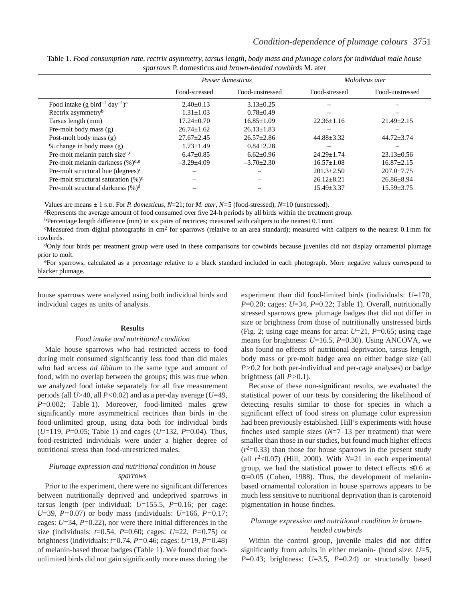|                                                                    | Passer domesticus |                  | Molothrus ater   |                  |
|--------------------------------------------------------------------|-------------------|------------------|------------------|------------------|
|                                                                    | Food-stressed     | Food-unstressed  | Food-stressed    | Food-unstressed  |
| Food intake (g bird <sup>-1</sup> day <sup>-1</sup> ) <sup>a</sup> | $2.40 \pm 0.13$   | $3.13 \pm 0.25$  |                  |                  |
| Rectrix asymmetry <sup>b</sup>                                     | $1.31 \pm 1.03$   | $0.78 \pm 0.49$  |                  |                  |
| Tarsus length (mm)                                                 | $17.24 \pm 0.70$  | $16.85 \pm 1.09$ | $22.36 \pm 1.16$ | $21.49 \pm 2.15$ |
| Pre-molt body mass (g)                                             | $26.74 + 1.62$    | $26.13 + 1.83$   |                  |                  |
| Post-molt body mass (g)                                            | $27.67 \pm 2.45$  | $26.57 \pm 2.86$ | $44.88 \pm 3.32$ | $44.72 \pm 3.74$ |
| % change in body mass (g)                                          | $1.73 \pm 1.49$   | $0.84 \pm 2.28$  |                  |                  |
| Pre-molt melanin patch size $c,d$                                  | $6.47 \pm 0.85$   | $6.62 \pm 0.96$  | $24.29 + 1.74$   | $23.13 \pm 0.56$ |
| Pre-molt melanin darkness $(\%)^{d,e}$                             | $-3.29+4.09$      | $-3.70 \pm 2.30$ | $16.57 \pm 1.08$ | $16.87 \pm 2.15$ |
| Pre-molt structural hue $(degrees)d$                               |                   |                  | $201.3 \pm 2.50$ | $207.0 \pm 7.75$ |
| Pre-molt structural saturation $(\%)^d$                            |                   |                  | $26.12 \pm 8.21$ | $26.86 \pm 8.94$ |
| Pre-molt structural darkness $(\%)^d$                              |                   |                  | $15.49 \pm 3.37$ | $15.59 \pm 3.75$ |

Table 1. *Food consumption rate, rectrix asymmetry, tarsus length, body mass and plumage colors for individual male house sparrows* P. domesticus *and brown-headed cowbirds* M. ater

Values are means ± 1 S.D. For *P. domesticus*, *N*=21; for *M. ater*, *N=*5 (food-stressed), *N*=10 (unstressed).

aRepresents the average amount of food consumed over five 24-h periods by all birds within the treatment group.

bPercentage length difference (mm) in six pairs of rectrices; measured with calipers to the nearest 0.1 mm.

<sup>c</sup>Measured from digital photographs in cm<sup>2</sup> for sparrows (relative to an area standard); measured with calipers to the nearest 0.1 mm for cowbirds.

<sup>d</sup>Only four birds per treatment group were used in these comparisons for cowbirds because juveniles did not display ornamental plumage prior to molt.

eFor sparrows, calculated as a percentage relative to a black standard included in each photograph. More negative values correspond to blacker plumage.

house sparrows were analyzed using both individual birds and individual cages as units of analysis.

#### **Results**

### *Food intake and nutritional condition*

Male house sparrows who had restricted access to food during molt consumed significantly less food than did males who had access *ad libitum* to the same type and amount of food, with no overlap between the groups; this was true when we analyzed food intake separately for all five measurement periods (all *U*>40, all *P<*0.02) and as a per-day average (*U*=49, *P*=0.002; Table 1). Moreover, food-limited males grew significantly more asymmetrical rectrices than birds in the food-unlimited group, using data both for individual birds (*U*=119, *P*=0.05; Table 1) and cages (*U*=132, *P*=0.04). Thus, food-restricted individuals were under a higher degree of nutritional stress than food-unrestricted males.

### *Plumage expression and nutritional condition in house sparrows*

Prior to the experiment, there were no significant differences between nutritionally deprived and undeprived sparrows in tarsus length (per individual: *U*=155.5, *P*=0.16; per cage: *U*=39, *P=*0.07) or body mass (individuals: *U*=166, *P=*0.17; cages: *U*=34, *P*=0.22), nor were there initial differences in the size (individuals: *t*=0.54, *P*=0.60; cages: *U*=22, *P=*0.75) or brightness (individuals: *t*=0.74, *P=*0.46; cages: *U*=19, *P=*0.48) of melanin-based throat badges (Table 1). We found that foodunlimited birds did not gain significantly more mass during the experiment than did food-limited birds (individuals: *U*=170, *P*=0.20; cages: *U*=34, *P*=0.22; Table 1). Overall, nutritionally stressed sparrows grew plumage badges that did not differ in size or brightness from those of nutritionally unstressed birds (Fig. 2; using cage means for area: *U*=21, *P*=0.65; using cage means for brightness: *U*=16.5, *P*=0.30). Using ANCOVA, we also found no effects of nutritional deprivation, tarsus length, body mass or pre-molt badge area on either badge size (all *P>*0.2 for both per-individual and per-cage analyses) or badge brightness (all *P>*0.1).

Because of these non-significant results, we evaluated the statistical power of our tests by considering the likelihood of detecting results similar to those for species in which a significant effect of food stress on plumage color expression had been previously established. Hill's experiments with house finches used sample sizes (*N*=7–13 per treatment) that were smaller than those in our studies, but found much higher effects  $(r<sup>2</sup>=0.33)$  than those for house sparrows in the present study (all  $r^2$  < 0.07) (Hill, 2000). With  $N=21$  in each experimental group, we had the statistical power to detect effects  $\leq 0.6$  at  $\alpha$ =0.05 (Cohen, 1988). Thus, the development of melaninbased ornamental coloration in house sparrows appears to be much less sensitive to nutritional deprivation than is carotenoid pigmentation in house finches.

## *Plumage expression and nutritional condition in brownheaded cowbirds*

Within the control group, juvenile males did not differ significantly from adults in either melanin- (hood size: *U*=5, *P*=0.43; brightness: *U*=3.5, *P*=0.24) or structurally based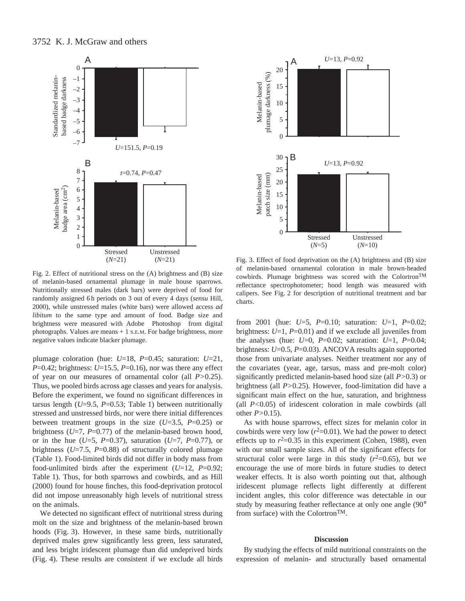

Fig. 2. Effect of nutritional stress on the (A) brightness and (B) size of melanin-based ornamental plumage in male house sparrows. Nutritionally stressed males (dark bars) were deprived of food for randomly assigned 6 h periods on 3 out of every 4 days (*sensu* Hill, 2000), while unstressed males (white bars) were allowed access *ad libitum* to the same type and amount of food. Badge size and brightness were measured with Adobe® Photoshop® from digital photographs. Values are means + 1 S.E.M. For badge brightness, more negative values indicate blacker plumage.

plumage coloration (hue: *U*=18, *P*=0.45; saturation: *U*=21,  $P=0.42$ ; brightness:  $U=15.5$ ,  $P=0.16$ ), nor was there any effect of year on our measures of ornamental color (all *P>*0.25). Thus, we pooled birds across age classes and years for analysis. Before the experiment, we found no significant differences in tarsus length  $(U=9.5, P=0.53;$  Table 1) between nutritionally stressed and unstressed birds, nor were there initial differences between treatment groups in the size (*U*=3.5, *P*=0.25) or brightness ( $U=7$ ,  $P=0.77$ ) of the melanin-based brown hood, or in the hue (*U*=5, *P*=0.37), saturation (*U*=7, *P*=0.77), or brightness (*U*=7.5, *P*=0.88) of structurally colored plumage (Table 1). Food-limited birds did not differ in body mass from food-unlimited birds after the experiment (*U*=12, *P*=0.92; Table 1). Thus, for both sparrows and cowbirds, and as Hill (2000) found for house finches, this food-deprivation protocol did not impose unreasonably high levels of nutritional stress on the animals.

We detected no significant effect of nutritional stress during molt on the size and brightness of the melanin-based brown hoods (Fig. 3). However, in these same birds, nutritionally deprived males grew significantly less green, less saturated, and less bright iridescent plumage than did undeprived birds (Fig. 4). These results are consistent if we exclude all birds



Fig. 3. Effect of food deprivation on the (A) brightness and (B) size of melanin-based ornamental coloration in male brown-headed cowbirds. Plumage brightness was scored with the ColortronTM reflectance spectrophotometer; hood length was measured with calipers. See Fig. 2 for description of nutritional treatment and bar charts.

from 2001 (hue: *U*=5, *P*=0.10; saturation: *U*=1, *P*=0.02; brightness: *U*=1, *P*=0.01) and if we exclude all juveniles from the analyses (hue: *U*=0, *P*=0.02; saturation: *U*=1, *P*=0.04; brightness: *U*=0.5, *P*=0.03). ANCOVA results again supported those from univariate analyses. Neither treatment nor any of the covariates (year, age, tarsus, mass and pre-molt color) significantly predicted melanin-based hood size (all *P>*0.3) or brightness (all *P>*0.25). However, food-limitation did have a significant main effect on the hue, saturation, and brightness (all *P<*0.05) of iridescent coloration in male cowbirds (all other *P>*0.15).

As with house sparrows, effect sizes for melanin color in cowbirds were very low  $(r^2=0.01)$ . We had the power to detect effects up to  $r^2$ =0.35 in this experiment (Cohen, 1988), even with our small sample sizes. All of the significant effects for structural color were large in this study  $(r^2=0.65)$ , but we encourage the use of more birds in future studies to detect weaker effects. It is also worth pointing out that, although iridescent plumage reflects light differently at different incident angles, this color difference was detectable in our study by measuring feather reflectance at only one angle (90° from surface) with the ColortronTM.

### **Discussion**

By studying the effects of mild nutritional constraints on the expression of melanin- and structurally based ornamental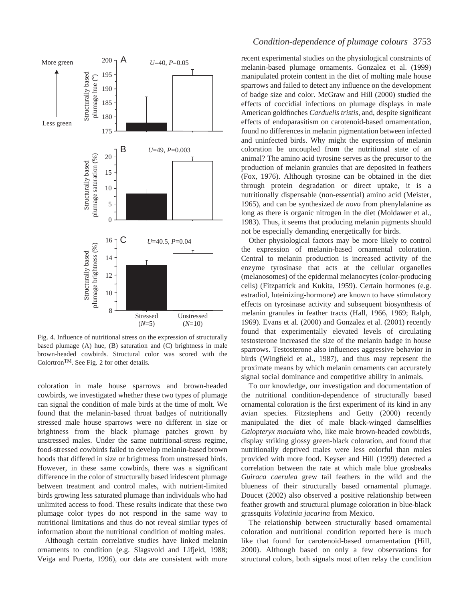

Fig. 4. Influence of nutritional stress on the expression of structurally based plumage (A) hue, (B) saturation and (C) brightness in male brown-headed cowbirds. Structural color was scored with the ColortronTM. See Fig. 2 for other details.

coloration in male house sparrows and brown-headed cowbirds, we investigated whether these two types of plumage can signal the condition of male birds at the time of molt. We found that the melanin-based throat badges of nutritionally stressed male house sparrows were no different in size or brightness from the black plumage patches grown by unstressed males. Under the same nutritional-stress regime, food-stressed cowbirds failed to develop melanin-based brown hoods that differed in size or brightness from unstressed birds. However, in these same cowbirds, there was a significant difference in the color of structurally based iridescent plumage between treatment and control males, with nutrient-limited birds growing less saturated plumage than individuals who had unlimited access to food. These results indicate that these two plumage color types do not respond in the same way to nutritional limitations and thus do not reveal similar types of information about the nutritional condition of molting males.

Although certain correlative studies have linked melanin ornaments to condition (e.g. Slagsvold and Lifjeld, 1988; Veiga and Puerta, 1996), our data are consistent with more

# *Condition-dependence of plumage colours* 3753

recent experimental studies on the physiological constraints of melanin-based plumage ornaments. Gonzalez et al. (1999) manipulated protein content in the diet of molting male house sparrows and failed to detect any influence on the development of badge size and color. McGraw and Hill (2000) studied the effects of coccidial infections on plumage displays in male American goldfinches *Carduelis tristis*, and, despite significant effects of endoparasitism on carotenoid-based ornamentation, found no differences in melanin pigmentation between infected and uninfected birds. Why might the expression of melanin coloration be uncoupled from the nutritional state of an animal? The amino acid tyrosine serves as the precursor to the production of melanin granules that are deposited in feathers (Fox, 1976). Although tyrosine can be obtained in the diet through protein degradation or direct uptake, it is a nutritionally dispensable (non-essential) amino acid (Meister, 1965), and can be synthesized *de novo* from phenylalanine as long as there is organic nitrogen in the diet (Moldawer et al., 1983). Thus, it seems that producing melanin pigments should not be especially demanding energetically for birds.

Other physiological factors may be more likely to control the expression of melanin-based ornamental coloration. Central to melanin production is increased activity of the enzyme tyrosinase that acts at the cellular organelles (melanosomes) of the epidermal melanocytes (color-producing cells) (Fitzpatrick and Kukita, 1959). Certain hormones (e.g. estradiol, luteinizing-hormone) are known to have stimulatory effects on tyrosinase activity and subsequent biosynthesis of melanin granules in feather tracts (Hall, 1966, 1969; Ralph, 1969). Evans et al. (2000) and Gonzalez et al. (2001) recently found that experimentally elevated levels of circulating testosterone increased the size of the melanin badge in house sparrows. Testosterone also influences aggressive behavior in birds (Wingfield et al., 1987), and thus may represent the proximate means by which melanin ornaments can accurately signal social dominance and competitive ability in animals.

To our knowledge, our investigation and documentation of the nutritional condition-dependence of structurally based ornamental coloration is the first experiment of its kind in any avian species. Fitzstephens and Getty (2000) recently manipulated the diet of male black-winged damselflies *Calopteryx maculata* who, like male brown-headed cowbirds, display striking glossy green-black coloration, and found that nutritionally deprived males were less colorful than males provided with more food. Keyser and Hill (1999) detected a correlation between the rate at which male blue grosbeaks *Guiraca caerulea* grew tail feathers in the wild and the blueness of their structurally based ornamental plumage. Doucet (2002) also observed a positive relationship between feather growth and structural plumage coloration in blue-black grassquits *Volatinia jacarina* from Mexico.

The relationship between structurally based ornamental coloration and nutritional condition reported here is much like that found for carotenoid-based ornamentation (Hill, 2000). Although based on only a few observations for structural colors, both signals most often relay the condition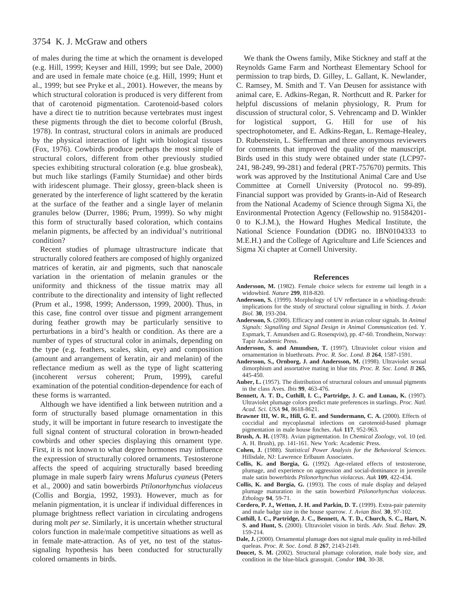# 3754 K. J. McGraw and others

of males during the time at which the ornament is developed (e.g. Hill, 1999; Keyser and Hill, 1999; but see Dale, 2000) and are used in female mate choice (e.g. Hill, 1999; Hunt et al., 1999; but see Pryke et al., 2001). However, the means by which structural coloration is produced is very different from that of carotenoid pigmentation. Carotenoid-based colors have a direct tie to nutrition because vertebrates must ingest these pigments through the diet to become colorful (Brush, 1978). In contrast, structural colors in animals are produced by the physical interaction of light with biological tissues (Fox, 1976). Cowbirds produce perhaps the most simple of structural colors, different from other previously studied species exhibiting structural coloration (e.g. blue grosbeak), but much like starlings (Family Sturnidae) and other birds with iridescent plumage. Their glossy, green-black sheen is generated by the interference of light scattered by the keratin at the surface of the feather and a single layer of melanin granules below (Durrer, 1986; Prum, 1999). So why might this form of structurally based coloration, which contains melanin pigments, be affected by an individual's nutritional condition?

Recent studies of plumage ultrastructure indicate that structurally colored feathers are composed of highly organized matrices of keratin, air and pigments, such that nanoscale variation in the orientation of melanin granules or the uniformity and thickness of the tissue matrix may all contribute to the directionality and intensity of light reflected (Prum et al., 1998, 1999; Andersson, 1999, 2000). Thus, in this case, fine control over tissue and pigment arrangement during feather growth may be particularly sensitive to perturbations in a bird's health or condition. As there are a number of types of structural color in animals, depending on the type (e.g. feathers, scales, skin, eye) and composition (amount and arrangement of keratin, air and melanin) of the reflectance medium as well as the type of light scattering (incoherent *versus* coherent; Prum, 1999), careful examination of the potential condition-dependence for each of these forms is warranted.

Although we have identified a link between nutrition and a form of structurally based plumage ornamentation in this study, it will be important in future research to investigate the full signal content of structural coloration in brown-headed cowbirds and other species displaying this ornament type. First, it is not known to what degree hormones may influence the expression of structurally colored ornaments. Testosterone affects the speed of acquiring structurally based breeding plumage in male superb fairy wrens *Malurus cyaneus* (Peters et al., 2000) and satin bowerbirds *Ptilonorhynchus violaceus* (Collis and Borgia, 1992, 1993). However, much as for melanin pigmentation, it is unclear if individual differences in plumage brightness reflect variation in circulating androgens during molt *per se*. Similarly, it is uncertain whether structural colors function in male/male competitive situations as well as in female mate-attraction. As of yet, no test of the statussignaling hypothesis has been conducted for structurally colored ornaments in birds.

We thank the Owens family, Mike Stickney and staff at the Reynolds Game Farm and Northeast Elementary School for permission to trap birds, D. Gilley, L. Gallant, K. Newlander, C. Ramsey, M. Smith and T. Van Deusen for assistance with animal care, E. Adkins-Regan, R. Northcutt and R. Parker for helpful discussions of melanin physiology, R. Prum for discussion of structural color, S. Vehrencamp and D. Winkler for logistical support, G. Hill for use of his spectrophotometer, and E. Adkins-Regan, L. Remage-Healey, D. Rubenstein, L. Siefferman and three anonymous reviewers for comments that improved the quality of the manuscript. Birds used in this study were obtained under state (LCP97- 241, 98-249, 99-281) and federal (PRT-757670) permits. This work was approved by the Institutional Animal Care and Use Committee at Cornell University (Protocol no. 99-89). Financial support was provided by Grants-in-Aid of Research from the National Academy of Science through Sigma Xi, the Environmental Protection Agency (Fellowship no. 91584201- 0 to K.J.M.), the Howard Hughes Medical Institute, the National Science Foundation (DDIG no. IBN0104333 to M.E.H.) and the College of Agriculture and Life Sciences and Sigma Xi chapter at Cornell University.

#### **References**

- **Andersson, M.** (1982). Female choice selects for extreme tail length in a widowbird. *Nature* **299**, 818-820.
- **Andersson, S.** (1999). Morphology of UV reflectance in a whistling-thrush: implications for the study of structural colour signalling in birds. *J. Avian Biol.* **30**, 193-204.
- **Andersson, S.** (2000). Efficacy and content in avian colour signals. In *Animal Signals: Signalling and Signal Design in Animal Communication* (ed. Y. Espmark, T. Amundsen and G. Rosenqvist), pp. 47-60. Trondheim, Norway: Tapir Academic Press.
- **Andersson, S. and Amundsen, T.** (1997). Ultraviolet colour vision and ornamentation in bluethroats. *Proc. R. Soc. Lond. B* **264**, 1587-1591.
- **Andersson, S., Ornborg, J. and Andersson, M.** (1998). Ultraviolet sexual dimorphism and assortative mating in blue tits. *Proc. R. Soc. Lond. B* **265**, 445-450.
- **Auber, L.** (1957). The distribution of structural colours and unusual pigments in the class Aves. *Ibis* **99**, 463-476.
- **Bennett, A. T. D., Cuthill, I. C., Partridge, J. C. and Lunau, K.** (1997). Ultraviolet plumage colors predict mate preferences in starlings. *Proc. Natl. Acad. Sci. USA* **94**, 8618-8621.
- **Brawner III, W. R., Hill, G. E. and Sundermann, C. A.** (2000). Effects of coccidial and mycoplasmal infections on carotenoid-based plumage pigmentation in male house finches. *Auk* **117**, 952-963.
- **Brush, A. H.** (1978). Avian pigmentation. In *Chemical Zoology*, vol. 10 (ed. A. H. Brush), pp. 141-161. New York: Academic Press.
- **Cohen, J.** (1988). *Statistical Power Analysis for the Behavioral Sciences*. Hillsdale, NJ: Lawrence Erlbaum Associates.
- **Collis, K. and Borgia, G.** (1992). Age-related effects of testosterone, plumage, and experience on aggression and social-dominance in juvenile male satin bowerbirds *Ptilonorhynchus violaceus*. *Auk* **109**, 422-434.
- **Collis, K. and Borgia, G.** (1993). The costs of male display and delayed plumage maturation in the satin bowerbird *Ptilonorhynchus violaceus*. *Ethology* **94**, 59-71.
- **Cordero, P. J., Wetton, J. H. and Parkin, D. T.** (1999). Extra-pair paternity and male badge size in the house sparrow. *J. Avian Biol.* **30**, 97-102.
- **Cuthill, I. C., Partridge, J. C., Bennett, A. T. D., Church, S. C., Hart, N. S. and Hunt, S.** (2000). Ultraviolet vision in birds. *Adv. Stud. Behav.* **29**, 159-214.
- **Dale, J.** (2000). Ornamental plumage does not signal male quality in red-billed queleas. *Proc. R. Soc. Lond. B* **267**, 2143-2149.
- **Doucet, S. M.** (2002). Structural plumage coloration, male body size, and condition in the blue-black grassquit. *Condor* **104**, 30-38.